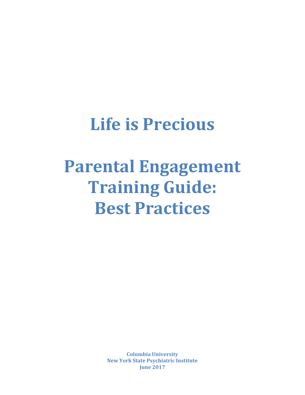# **Life is Precious**

# **Parental Engagement Training Guide: Best Practices**

**Columbia University New York State Psychiatric Institute June 2017**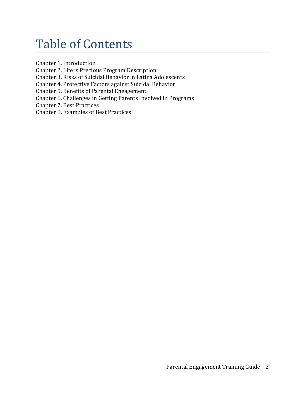### Table of Contents

Chapter 1. Introduction

Chapter 2. Life is Precious Program Description

Chapter 3. Risks of Suicidal Behavior in Latina Adolescents

Chapter 4. Protective Factors against Suicidal Behavior

Chapter 5. Benefits of Parental Engagement

Chapter 6. Challenges in Getting Parents Involved in Programs

Chapter 7. Best Practices

Chapter 8. Examples of Best Practices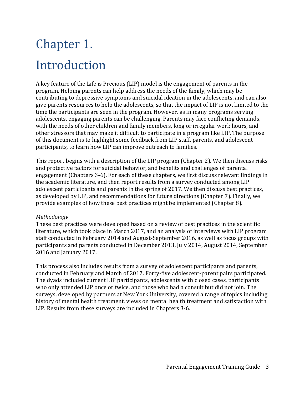# Chapter 1.

### Introduction

A key feature of the Life is Precious (LIP) model is the engagement of parents in the program. Helping parents can help address the needs of the family, which may be contributing to depressive symptoms and suicidal ideation in the adolescents, and can also give parents resources to help the adolescents, so that the impact of LIP is not limited to the time the participants are seen in the program. However, as in many programs serving adolescents, engaging parents can be challenging. Parents may face conflicting demands, with the needs of other children and family members, long or irregular work hours, and other stressors that may make it difficult to participate in a program like LIP. The purpose of this document is to highlight some feedback from LIP staff, parents, and adolescent participants, to learn how LIP can improve outreach to families.

This report begins with a description of the LIP program (Chapter 2). We then discuss risks and protective factors for suicidal behavior, and benefits and challenges of parental engagement (Chapters 3-6). For each of these chapters, we first discuss relevant findings in the academic literature, and then report results from a survey conducted among LIP adolescent participants and parents in the spring of 2017. We then discuss best practices, as developed by LIP, and recommendations for future directions (Chapter 7). Finally, we provide examples of how these best practices might be implemented (Chapter 8).

### *Methodology*

These best practices were developed based on a review of best practices in the scientific literature, which took place in March 2017, and an analysis of interviews with LIP program staff conducted in February 2014 and August-September 2016, as well as focus groups with participants and parents conducted in December 2013, July 2014, August 2014, September 2016 and January 2017.

This process also includes results from a survey of adolescent participants and parents, conducted in February and March of 2017. Forty-five adolescent-parent pairs participated. The dyads included current LIP participants, adolescents with closed cases, participants who only attended LIP once or twice, and those who had a consult but did not join. The surveys, developed by partners at New York University, covered a range of topics including history of mental health treatment, views on mental health treatment and satisfaction with LIP. Results from these surveys are included in Chapters 3-6.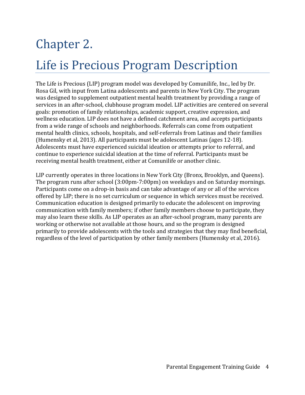# Chapter 2.

## Life is Precious Program Description

The Life is Precious (LIP) program model was developed by Comunilife, Inc., led by Dr. Rosa Gil, with input from Latina adolescents and parents in New York City. The program was designed to supplement outpatient mental health treatment by providing a range of services in an after-school, clubhouse program model. LIP activities are centered on several goals: promotion of family relationships, academic support, creative expression, and wellness education. LIP does not have a defined catchment area, and accepts participants from a wide range of schools and neighborhoods. Referrals can come from outpatient mental health clinics, schools, hospitals, and self-referrals from Latinas and their families (Humensky et al, 2013). All participants must be adolescent Latinas (ages 12-18). Adolescents must have experienced suicidal ideation or attempts prior to referral, and continue to experience suicidal ideation at the time of referral. Participants must be receiving mental health treatment, either at Comunilife or another clinic.

LIP currently operates in three locations in New York City (Bronx, Brooklyn, and Queens). The program runs after school (3:00pm-7:00pm) on weekdays and on Saturday mornings. Participants come on a drop-in basis and can take advantage of any or all of the services offered by LIP; there is no set curriculum or sequence in which services must be received. Communication education is designed primarily to educate the adolescent on improving communication with family members; if other family members choose to participate, they may also learn these skills. As LIP operates as an after-school program, many parents are working or otherwise not available at those hours, and so the program is designed primarily to provide adolescents with the tools and strategies that they may find beneficial, regardless of the level of participation by other family members (Humensky et al, 2016).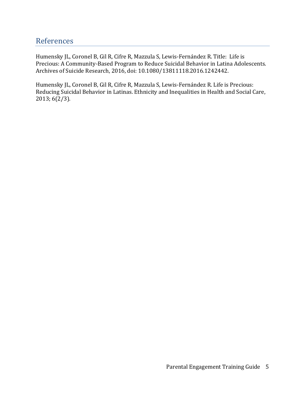### References

Humensky JL, Coronel B, Gil R, Cifre R, Mazzula S, Lewis-Fernández R. Title: Life is Precious: A Community-Based Program to Reduce Suicidal Behavior in Latina Adolescents. Archives of Suicide Research, 2016, doi: 10.1080/13811118.2016.1242442.

Humensky JL, Coronel B, Gil R, Cifre R, Mazzula S, Lewis-Fernández R. Life is Precious: Reducing Suicidal Behavior in Latinas. Ethnicity and Inequalities in Health and Social Care, 2013; 6(2/3).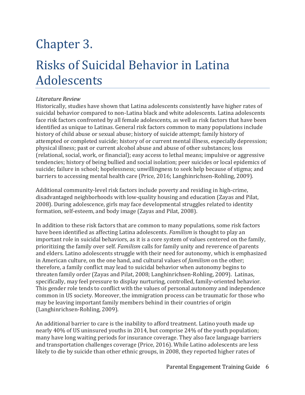# Chapter 3.

### Risks of Suicidal Behavior in Latina Adolescents

### *Literature Review*

Historically, studies have shown that Latina adolescents consistently have higher rates of suicidal behavior compared to non-Latina black and white adolescents*.* Latina adolescents face risk factors confronted by all female adolescents, as well as risk factors that have been identified as unique to Latinas. General risk factors common to many populations include history of child abuse or sexual abuse; history of suicide attempt; family history of attempted or completed suicide; history of or current mental illness, especially depression; physical illness; past or current alcohol abuse and abuse of other substances; loss (relational, social, work, or financial); easy access to lethal means; impulsive or aggressive tendencies; history of being bullied and social isolation; peer suicides or local epidemics of suicide; failure in school; hopelessness; unwillingness to seek help because of stigma; and barriers to accessing mental health care (Price, 2016; Langhinrichsen-Rohling, 2009).

Additional community-level risk factors include poverty and residing in high-crime, disadvantaged neighborhoods with low-quality housing and education (Zayas and Pilat, 2008). During adolescence, girls may face developmental struggles related to identity formation, self-esteem, and body image (Zayas and Pilat, 2008).

In addition to these risk factors that are common to many populations, some risk factors have been identified as affecting Latina adolescents. *Familism* is thought to play an important role in suicidal behaviors, as it is a core system of values centered on the family, prioritizing the family over self. *Familism* calls for family unity and reverence of parents and elders. Latino adolescents struggle with their need for autonomy, which is emphasized in American culture, on the one hand, and cultural values of *familism* on the other; therefore, a family conflict may lead to suicidal behavior when autonomy begins to threaten family order (Zayas and Pilat, 2008; Langhinrichsen-Rohling, 2009). Latinas, specifically, may feel pressure to display nurturing, controlled, family-oriented behavior. This gender role tends to conflict with the values of personal autonomy and independence common in US society. Moreover, the immigration process can be traumatic for those who may be leaving important family members behind in their countries of origin (Langhinrichsen-Rohling, 2009).

An additional barrier to care is the inability to afford treatment. Latino youth made up nearly 40% of US uninsured youths in 2014, but comprise 24% of the youth population; many have long waiting periods for insurance coverage. They also face language barriers and transportation challenges coverage (Price, 2016). While Latino adolescents are less likely to die by suicide than other ethnic groups, in 2008, they reported higher rates of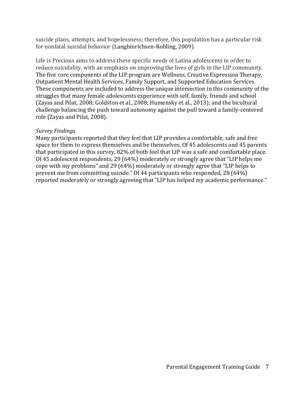suicide plans, attempts, and hopelessness; therefore, this population has a particular risk for nonfatal suicidal behavior (Langhinrichsen-Rohling, 2009).

Life is Precious aims to address these specific needs of Latina adolescents in order to reduce suicidality, with an emphasis on improving the lives of girls in the LIP community. The five core components of the LIP program are Wellness, Creative Expression Therapy, Outpatient Mental Health Services, Family Support, and Supported Education Services. These components are included to address the unique intersection in this community of the struggles that many female adolescents experience with self, family, friends and school (Zayas and Pilat, 2008; Goldston et al., 2008; Humensky et al., 2013); and the bicultural challenge balancing the push toward autonomy against the pull toward a family-centered role (Zayas and Pilat, 2008).

#### *Survey Findings*

Many participants reported that they feel that LIP provides a comfortable, safe and free space for them to express themselves and be themselves. Of 45 adolescents and 45 parents that participated in this survey, 82% of both feel that LIP was a safe and comfortable place. Of 45 adolescent respondents, 29 (64%) moderately or strongly agree that "LIP helps me cope with my problems" and 29 (64%) moderately or strongly agree that "LIP helps to prevent me from committing suicide." Of 44 participants who responded, 28 (64%) reported moderately or strongly agreeing that "LIP has helped my academic performance."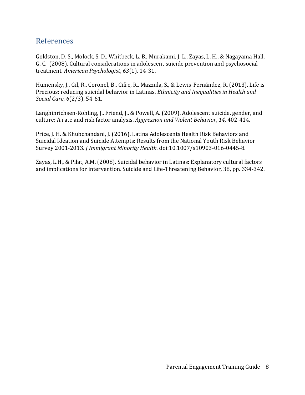### References

Goldston, D. S., Molock, S. D., Whitbeck, L. B., Murakami, J. L., Zayas, L. H., & Nagayama Hall, G. C. (2008). Cultural considerations in adolescent suicide prevention and psychosocial treatment. *American Psychologist*, *63*(1), 14-31.

Humensky, J., Gil, R., Coronel, B., Cifre, R., Mazzula, S., & Lewis-Fernández, R. (2013). Life is Precious: reducing suicidal behavior in Latinas. *Ethnicity and Inequalities in Health and Social Care*, *6*(2/3), 54-61.

Langhinrichsen-Rohling, J., Friend, J., & Powell, A. (2009). Adolescent suicide, gender, and culture: A rate and risk factor analysis. *Aggression and Violent Behavior*, *14,* 402-414.

Price, J. H. & Khubchandani, J. (2016). Latina Adolescents Health Risk Behaviors and Suicidal Ideation and Suicide Attempts: Results from the National Youth Risk Behavior Survey 2001-2013. *J Immigrant Minority Health.* doi:10.1007/s10903-016-0445-8.

Zayas, L.H., & Pilat, A.M. (2008). Suicidal behavior in Latinas: Explanatory cultural factors and implications for intervention. Suicide and Life-Threatening Behavior, 38, pp. 334-342.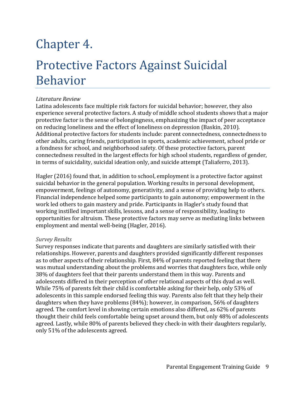### Chapter 4.

### Protective Factors Against Suicidal Behavior

#### *Literature Review*

Latina adolescents face multiple risk factors for suicidal behavior; however, they also experience several protective factors. A study of middle school students shows that a major protective factor is the sense of belongingness, emphasizing the impact of peer acceptance on reducing loneliness and the effect of loneliness on depression (Baskin, 2010). Additional protective factors for students include: parent connectedness, connectedness to other adults, caring friends, participation in sports, academic achievement, school pride or a fondness for school, and neighborhood safety. Of these protective factors, parent connectedness resulted in the largest effects for high school students, regardless of gender, in terms of suicidality, suicidal ideation only, and suicide attempt (Taliaferro, 2013).

Hagler (2016) found that, in addition to school, employment is a protective factor against suicidal behavior in the general population. Working results in personal development, empowerment, feelings of autonomy, generativity, and a sense of providing help to others. Financial independence helped some participants to gain autonomy; empowerment in the work led others to gain mastery and pride. Participants in Hagler's study found that working instilled important skills, lessons, and a sense of responsibility, leading to opportunities for altruism. These protective factors may serve as mediating links between employment and mental well-being (Hagler, 2016).

#### *Survey Results*

Survey responses indicate that parents and daughters are similarly satisfied with their relationships. However, parents and daughters provided significantly different responses as to other aspects of their relationship. First, 84% of parents reported feeling that there was mutual understanding about the problems and worries that daughters face, while only 38% of daughters feel that their parents understand them in this way. Parents and adolescents differed in their perception of other relational aspects of this dyad as well. While 75% of parents felt their child is comfortable asking for their help, only 53% of adolescents in this sample endorsed feeling this way. Parents also felt that they help their daughters when they have problems (84%); however, in comparison, 56% of daughters agreed. The comfort level in showing certain emotions also differed, as 62% of parents thought their child feels comfortable being upset around them, but only 48% of adolescents agreed. Lastly, while 80% of parents believed they check-in with their daughters regularly, only 51% of the adolescents agreed.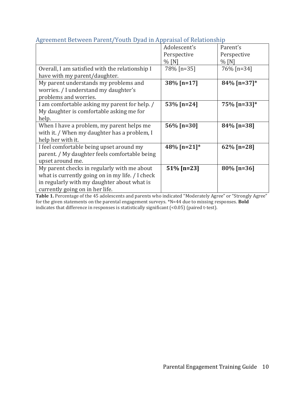| $\mathbb{R}^2$ coment been con r as one reach by an in rippression or riestation in |               |                |
|-------------------------------------------------------------------------------------|---------------|----------------|
|                                                                                     | Adolescent's  | Parent's       |
|                                                                                     | Perspective   | Perspective    |
|                                                                                     | $%$ [N]       | $%$ [N]        |
| Overall, I am satisfied with the relationship I                                     | 78% [n=35]    | 76% [n=34]     |
| have with my parent/daughter.                                                       |               |                |
| My parent understands my problems and                                               | 38% [n=17]    | $84\%$ [n=37]* |
| worries. / I understand my daughter's                                               |               |                |
| problems and worries.                                                               |               |                |
| I am comfortable asking my parent for help. /                                       | 53% [n=24]    | $75\%$ [n=33]* |
| My daughter is comfortable asking me for                                            |               |                |
| help.                                                                               |               |                |
| When I have a problem, my parent helps me                                           | 56% [n=30]    | 84% [n=38]     |
| with it. / When my daughter has a problem, I                                        |               |                |
| help her with it.                                                                   |               |                |
| I feel comfortable being upset around my                                            | 48% [n=21]*   | $62\%$ [n=28]  |
| parent. / My daughter feels comfortable being                                       |               |                |
| upset around me.                                                                    |               |                |
| My parent checks in regularly with me about                                         | $51\%$ [n=23] | $80\%$ [n=36]  |
| what is currently going on in my life. / I check                                    |               |                |
| in regularly with my daughter about what is                                         |               |                |
| currently going on in her life.                                                     |               |                |

### Agreement Between Parent/Youth Dyad in Appraisal of Relationship

Table 1. Percentage of the 45 adolescents and parents who indicated "Moderately Agree" or "Strongly Agree" for the given statements on the parental engagement surveys. \*N=44 due to missing responses. **Bold** indicates that difference in responses is statistically significant (<0.05) (paired t-test).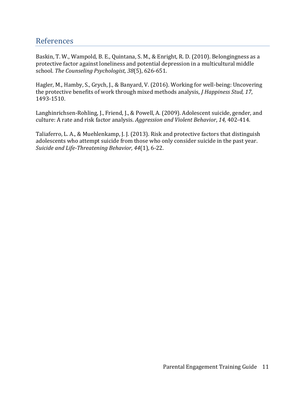### References

Baskin, T. W., Wampold, B. E., Quintana, S. M., & Enright, R. D. (2010). Belongingness as a protective factor against loneliness and potential depression in a multicultural middle school. *The Counseling Psychologist, 38*(5), 626-651.

Hagler, M., Hamby, S., Grych, J., & Banyard, V. (2016). Working for well-being: Uncovering the protective benefits of work through mixed methods analysis, *J Happiness Stud, 17*, 1493-1510.

Langhinrichsen-Rohling, J., Friend, J., & Powell, A. (2009). Adolescent suicide, gender, and culture: A rate and risk factor analysis. *Aggression and Violent Behavior*, *14,* 402-414.

Taliaferro, L. A., & Muehlenkamp, J. J. (2013). Risk and protective factors that distinguish adolescents who attempt suicide from those who only consider suicide in the past year. *Suicide and Life-Threatening Behavior, 44*(1), 6-22.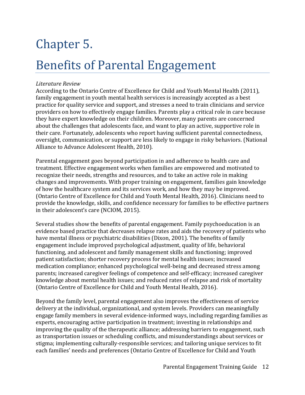# Chapter 5.

### Benefits of Parental Engagement

### *Literature Review*

According to the Ontario Centre of Excellence for Child and Youth Mental Health (2011), family engagement in youth mental health services is increasingly accepted as a best practice for quality service and support, and stresses a need to train clinicians and service providers on how to effectively engage families. Parents play a critical role in care because they have expert knowledge on their children. Moreover, many parents are concerned about the challenges that adolescents face, and want to play an active, supportive role in their care. Fortunately, adolescents who report having sufficient parental connectedness, oversight, communication, or support are less likely to engage in risky behaviors. (National Alliance to Advance Adolescent Health, 2010).

Parental engagement goes beyond participation in and adherence to health care and treatment. Effective engagement works when families are empowered and motivated to recognize their needs, strengths and resources, and to take an active role in making changes and improvements. With proper training on engagement, families gain knowledge of how the healthcare system and its services work, and how they may be improved. (Ontario Centre of Excellence for Child and Youth Mental Health, 2016). Clinicians need to provide the knowledge, skills, and confidence necessary for families to be effective partners in their adolescent's care (NCIOM, 2015).

Several studies show the benefits of parental engagement. Family psychoeducation is an evidence based practice that decreases relapse rates and aids the recovery of patients who have mental illness or psychiatric disabilities (Dixon, 2001). The benefits of family engagement include improved psychological adjustment, quality of life, behavioral functioning, and adolescent and family management skills and functioning; improved patient satisfaction; shorter recovery process for mental health issues; increased medication compliance; enhanced psychological well-being and decreased stress among parents; increased caregiver feelings of competence and self-efficacy; increased caregiver knowledge about mental health issues; and reduced rates of relapse and risk of mortality (Ontario Centre of Excellence for Child and Youth Mental Health, 2016).

Beyond the family level, parental engagement also improves the effectiveness of service delivery at the individual, organizational, and system levels. Providers can meaningfully engage family members in several evidence-informed ways, including regarding families as experts, encouraging active participation in treatment; investing in relationships and improving the quality of the therapeutic alliance; addressing barriers to engagement, such as transportation issues or scheduling conflicts, and misunderstandings about services or stigma; implementing culturally-responsible services; and tailoring unique services to fit each families' needs and preferences (Ontario Centre of Excellence for Child and Youth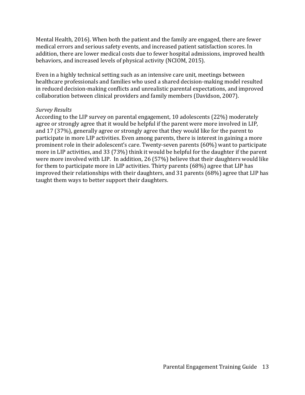Mental Health, 2016). When both the patient and the family are engaged, there are fewer medical errors and serious safety events, and increased patient satisfaction scores. In addition, there are lower medical costs due to fewer hospital admissions, improved health behaviors, and increased levels of physical activity (NCIOM, 2015).

Even in a highly technical setting such as an intensive care unit, meetings between healthcare professionals and families who used a shared decision-making model resulted in reduced decision-making conflicts and unrealistic parental expectations, and improved collaboration between clinical providers and family members (Davidson, 2007).

#### *Survey Results*

According to the LIP survey on parental engagement, 10 adolescents (22%) moderately agree or strongly agree that it would be helpful if the parent were more involved in LIP, and 17 (37%), generally agree or strongly agree that they would like for the parent to participate in more LIP activities. Even among parents, there is interest in gaining a more prominent role in their adolescent's care. Twenty-seven parents (60%) want to participate more in LIP activities, and 33 (73%) think it would be helpful for the daughter if the parent were more involved with LIP. In addition, 26 (57%) believe that their daughters would like for them to participate more in LIP activities. Thirty parents (68%) agree that LIP has improved their relationships with their daughters, and 31 parents (68%) agree that LIP has taught them ways to better support their daughters.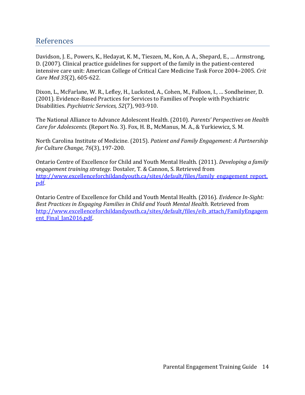### References

Davidson, J. E., Powers, K., Hedayat, K. M., Tieszen, M., Kon, A. A., Shepard, E., … Armstrong, D. (2007). Clinical practice guidelines for support of the family in the patient-centered intensive care unit: American College of Critical Care Medicine Task Force 2004–2005. *Crit Care Med 35*(2), 605-622.

Dixon, L., McFarlane, W. R., Lefley, H., Lucksted, A., Cohen, M., Falloon, I., … Sondheimer, D. (2001). Evidence-Based Practices for Services to Families of People with Psychiatric Disabilities. *Psychiatric Services, 52*(7), 903-910.

The National Alliance to Advance Adolescent Health. (2010). *Parents' Perspectives on Health Care for Adolescents.* (Report No. 3). Fox, H. B., McManus, M. A., & Yurkiewicz, S. M.

North Carolina Institute of Medicine. (2015). *Patient and Family Engagement: A Partnership for Culture Change, 76*(3), 197-200.

Ontario Centre of Excellence for Child and Youth Mental Health. (2011). *Developing a family engagement training strategy.* Dostaler, T. & Cannon, S. Retrieved from [http://www.excellenceforchildandyouth.ca/sites/default/files/family\\_engagement\\_report.](http://www.excellenceforchildandyouth.ca/sites/default/files/family_engagement_report.pdf) [pdf.](http://www.excellenceforchildandyouth.ca/sites/default/files/family_engagement_report.pdf)

Ontario Centre of Excellence for Child and Youth Mental Health. (2016). *Evidence In-Sight: Best Practices in Engaging Families in Child and Youth Mental Health.* Retrieved from [http://www.excellenceforchildandyouth.ca/sites/default/files/eib\\_attach/FamilyEngagem](http://www.excellenceforchildandyouth.ca/sites/default/files/eib_attach/FamilyEngagement_Final_Jan2016.pdf) ent Final Jan2016.pdf.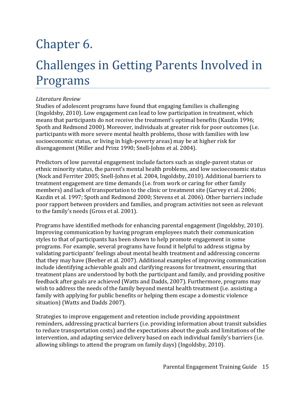# Chapter 6.

### Challenges in Getting Parents Involved in Programs

#### *Literature Review*

Studies of adolescent programs have found that engaging families is challenging (Ingoldsby, 2010). Low engagement can lead to low participation in treatment, which means that participants do not receive the treatment's optimal benefits (Kazdin 1996; Spoth and Redmond 2000). Moreover, individuals at greater risk for poor outcomes (i.e. participants with more severe mental health problems, those with families with low socioeconomic status, or living in high-poverty areas) may be at higher risk for disengagement (Miller and Prinz 1990; Snell-Johns et al. 2004).

Predictors of low parental engagement include factors such as single-parent status or ethnic minority status, the parent's mental health problems, and low socioeconomic status (Nock and Ferriter 2005; Snell-Johns et al. 2004, Ingoldsby, 2010). Additional barriers to treatment engagement are time demands (i.e. from work or caring for other family members) and lack of transportation to the clinic or treatment site (Garvey et al. 2006; Kazdin et al. 1997; Spoth and Redmond 2000; Stevens et al. 2006). Other barriers include poor rapport between providers and families, and program activities not seen as relevant to the family's needs (Gross et al. 2001).

Programs have identified methods for enhancing parental engagement (Ingoldsby, 2010). Improving communication by having program employees match their communication styles to that of participants has been shown to help promote engagement in some programs. For example, several programs have found it helpful to address stigma by validating participants' feelings about mental health treatment and addressing concerns that they may have (Beeber et al. 2007). Additional examples of improving communication include identifying achievable goals and clarifying reasons for treatment, ensuring that treatment plans are understood by both the participant and family, and providing positive feedback after goals are achieved (Watts and Dadds, 2007). Furthermore, programs may wish to address the needs of the family beyond mental health treatment (i.e. assisting a family with applying for public benefits or helping them escape a domestic violence situation) (Watts and Dadds 2007).

Strategies to improve engagement and retention include providing appointment reminders, addressing practical barriers (i.e. providing information about transit subsidies to reduce transportation costs) and the expectations about the goals and limitations of the intervention, and adapting service delivery based on each individual family's barriers (i.e. allowing siblings to attend the program on family days) (Ingoldsby, 2010).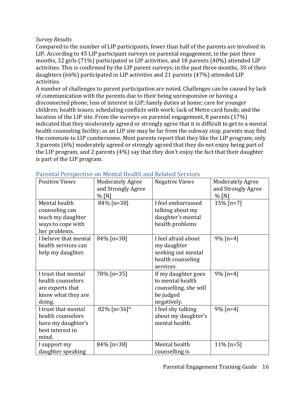### *Survey Results*

Compared to the number of LIP participants, fewer than half of the parents are involved in LIP. According to 45 LIP participant surveys on parental engagement, in the past three months, 32 girls (71%) participated in LIP activities, and 18 parents (40%) attended LIP activities. This is confirmed by the LIP parent surveys; in the past three months, 30 of their daughters (66%) participated in LIP activities and 21 parents (47%) attended LIP activities.

A number of challenges to parent participation are noted. Challenges can be caused by lack of communication with the parents due to their being unresponsive or having a disconnected phone; loss of interest in LIP; family duties at home; care for younger children; health issues; scheduling conflicts with work; lack of Metro card funds; and the location of the LIP site. From the surveys on parental engagement, 8 parents (17%) indicated that they moderately agreed or strongly agree that it is difficult to get to a mental health counseling facility; as an LIP site may be far from the subway stop, parents may find the commute to LIP cumbersome. Most parents report that they like the LIP program; only 3 parents (6%) moderately agreed or strongly agreed that they do not enjoy being part of the LIP program, and 2 parents (4%) say that they don't enjoy the fact that their daughter is part of the LIP program.

| <b>Positive Views</b> | <b>Moderately Agree</b><br>and Strongly Agree<br>$%$ [N] | <b>Negative Views</b> | <b>Moderately Agree</b><br>and Strongly Agree<br>$%$ [N] |
|-----------------------|----------------------------------------------------------|-----------------------|----------------------------------------------------------|
| Mental health         | 84% [n=38]                                               | I feel embarrassed    | 15% [n=7]                                                |
| counseling can        |                                                          | talking about my      |                                                          |
| teach my daughter     |                                                          | daughter's mental     |                                                          |
| ways to cope with     |                                                          | health problems       |                                                          |
| her problems.         |                                                          |                       |                                                          |
| I believe that mental | 84% [n=38]                                               | I feel afraid about   | $9\%$ [n=4]                                              |
| health services can   |                                                          | my daughter           |                                                          |
| help my daughter.     |                                                          | seeking out mental    |                                                          |
|                       |                                                          | health counseling     |                                                          |
|                       |                                                          | services              |                                                          |
| I trust that mental   | 78% [n=35]                                               | If my daughter goes   | $9\%$ [n=4]                                              |
| health counselors     |                                                          | to mental health      |                                                          |
| are experts that      |                                                          | counselling, she will |                                                          |
| know what they are    |                                                          | be judged             |                                                          |
| doing.                |                                                          | negatively.           |                                                          |
| I trust that mental   | 82% [n=36]*                                              | I feel shy talking    | $9\%$ [n=4]                                              |
| health counselors     |                                                          | about my daughter's   |                                                          |
| have my daughter's    |                                                          | mental health.        |                                                          |
| best interest in      |                                                          |                       |                                                          |
| mind.                 |                                                          |                       |                                                          |
| I support my          | 84% [n=38]                                               | Mental health         | $11\%$ [n=5]                                             |
| daughter speaking     |                                                          | counselling is        |                                                          |

| Parental Perspective on Mental Health and Related Services |  |  |  |
|------------------------------------------------------------|--|--|--|
|                                                            |  |  |  |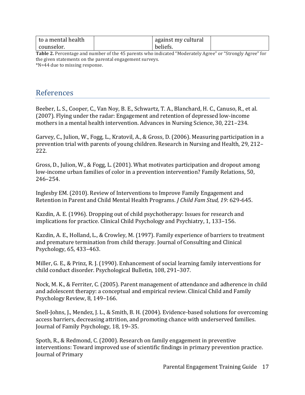| l to a mental health | against my cultural |  |
|----------------------|---------------------|--|
| counselor.           | beliefs.            |  |

**Table 2.** Percentage and number of the 45 parents who indicated "Moderately Agree" or "Strongly Agree" for the given statements on the parental engagement surveys. \*N=44 due to missing response.

References

Beeber, L. S., Cooper, C., Van Noy, B. E., Schwartz, T. A., Blanchard, H. C., Canuso, R., et al. (2007). Flying under the radar: Engagement and retention of depressed low-income mothers in a mental health intervention. Advances in Nursing Science, 30, 221–234.

Garvey, C., Julion, W., Fogg, L., Kratovil, A., & Gross, D. (2006). Measuring participation in a prevention trial with parents of young children. Research in Nursing and Health, 29, 212– 222.

Gross, D., Julion, W., & Fogg, L. (2001). What motivates participation and dropout among low-income urban families of color in a prevention intervention? Family Relations, 50, 246–254.

Inglesby EM. (2010). Review of Interventions to Improve Family Engagement and Retention in Parent and Child Mental Health Programs. *J Child Fam Stud, 19*: 629-645.

Kazdin, A. E. (1996). Dropping out of child psychotherapy: Issues for research and implications for practice. Clinical Child Psychology and Psychiatry, 1, 133–156.

Kazdin, A. E., Holland, L., & Crowley, M. (1997). Family experience of barriers to treatment and premature termination from child therapy. Journal of Consulting and Clinical Psychology, 65, 433–463.

Miller, G. E., & Prinz, R. J. (1990). Enhancement of social learning family interventions for child conduct disorder. Psychological Bulletin, 108, 291–307.

Nock, M. K., & Ferriter, C. (2005). Parent management of attendance and adherence in child and adolescent therapy: a conceptual and empirical review. Clinical Child and Family Psychology Review, 8, 149–166.

Snell-Johns, J., Mendez, J. L., & Smith, B. H. (2004). Evidence-based solutions for overcoming access barriers, decreasing attrition, and promoting chance with underserved families. Journal of Family Psychology, 18, 19–35.

Spoth, R., & Redmond, C. (2000). Research on family engagement in preventive interventions: Toward improved use of scientific findings in primary prevention practice. Journal of Primary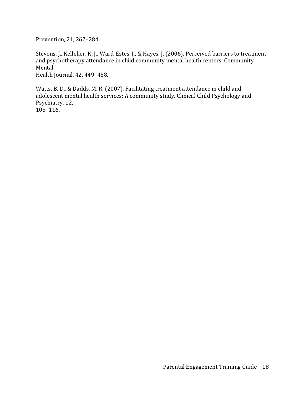Prevention, 21, 267–284.

Stevens, J., Kelleher, K. J., Ward-Estes, J., & Hayes, J. (2006). Perceived barriers to treatment and psychotherapy attendance in child community mental health centers. Community Mental Health Journal, 42, 449–458.

Watts, B. D., & Dadds, M. R. (2007). Facilitating treatment attendance in child and adolescent mental health services: A community study. Clinical Child Psychology and Psychiatry, 12, 105–116.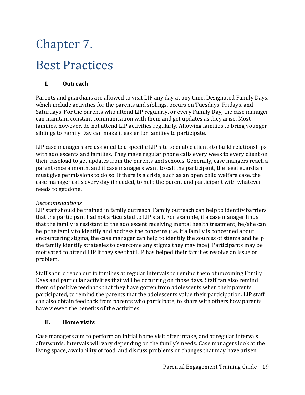# Chapter 7. Best Practices

### **I. Outreach**

Parents and guardians are allowed to visit LIP any day at any time. Designated Family Days, which include activities for the parents and siblings, occurs on Tuesdays, Fridays, and Saturdays. For the parents who attend LIP regularly, or every Family Day, the case manager can maintain constant communication with them and get updates as they arise. Most families, however, do not attend LIP activities regularly. Allowing families to bring younger siblings to Family Day can make it easier for families to participate.

LIP case managers are assigned to a specific LIP site to enable clients to build relationships with adolescents and families. They make regular phone calls every week to every client on their caseload to get updates from the parents and schools. Generally, case mangers reach a parent once a month, and if case managers want to call the participant, the legal guardian must give permissions to do so. If there is a crisis, such as an open child welfare case, the case manager calls every day if needed, to help the parent and participant with whatever needs to get done.

#### *Recommendations*

LIP staff should be trained in family outreach. Family outreach can help to identify barriers that the participant had not articulated to LIP staff. For example, if a case manager finds that the family is resistant to the adolescent receiving mental health treatment, he/she can help the family to identify and address the concerns (i.e. if a family is concerned about encountering stigma, the case manager can help to identify the sources of stigma and help the family identify strategies to overcome any stigma they may face). Participants may be motivated to attend LIP if they see that LIP has helped their families resolve an issue or problem.

Staff should reach out to families at regular intervals to remind them of upcoming Family Days and particular activities that will be occurring on those days. Staff can also remind them of positive feedback that they have gotten from adolescents when their parents participated, to remind the parents that the adolescents value their participation. LIP staff can also obtain feedback from parents who participate, to share with others how parents have viewed the benefits of the activities.

#### **II. Home visits**

Case managers aim to perform an initial home visit after intake, and at regular intervals afterwards. Intervals will vary depending on the family's needs. Case managers look at the living space, availability of food, and discuss problems or changes that may have arisen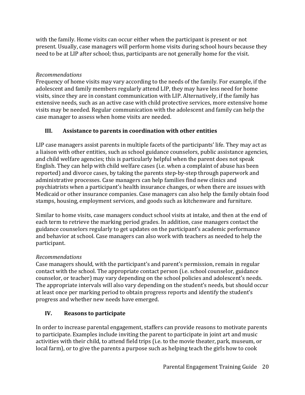with the family. Home visits can occur either when the participant is present or not present. Usually, case managers will perform home visits during school hours because they need to be at LIP after school; thus, participants are not generally home for the visit.

### *Recommendations*

Frequency of home visits may vary according to the needs of the family. For example, if the adolescent and family members regularly attend LIP, they may have less need for home visits, since they are in constant communication with LIP. Alternatively, if the family has extensive needs, such as an active case with child protective services, more extensive home visits may be needed. Regular communication with the adolescent and family can help the case manager to assess when home visits are needed.

### **III. Assistance to parents in coordination with other entities**

LIP case managers assist parents in multiple facets of the participants' life. They may act as a liaison with other entities, such as school guidance counselors, public assistance agencies, and child welfare agencies; this is particularly helpful when the parent does not speak English. They can help with child welfare cases (i.e. when a complaint of abuse has been reported) and divorce cases, by taking the parents step-by-step through paperwork and administrative processes. Case managers can help families find new clinics and psychiatrists when a participant's health insurance changes, or when there are issues with Medicaid or other insurance companies. Case managers can also help the family obtain food stamps, housing, employment services, and goods such as kitchenware and furniture.

Similar to home visits, case managers conduct school visits at intake, and then at the end of each term to retrieve the marking period grades. In addition, case managers contact the guidance counselors regularly to get updates on the participant's academic performance and behavior at school. Case managers can also work with teachers as needed to help the participant.

### *Recommendations*

Case managers should, with the participant's and parent's permission, remain in regular contact with the school. The appropriate contact person (i.e. school counselor, guidance counselor, or teacher) may vary depending on the school policies and adolescent's needs. The appropriate intervals will also vary depending on the student's needs, but should occur at least once per marking period to obtain progress reports and identify the student's progress and whether new needs have emerged.

### **IV. Reasons to participate**

In order to increase parental engagement, staffers can provide reasons to motivate parents to participate. Examples include inviting the parent to participate in joint art and music activities with their child, to attend field trips (i.e. to the movie theater, park, museum, or local farm), or to give the parents a purpose such as helping teach the girls how to cook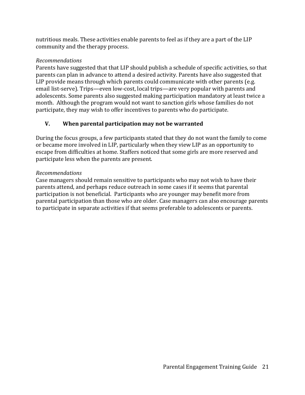nutritious meals. These activities enable parents to feel as if they are a part of the LIP community and the therapy process.

### *Recommendations*

Parents have suggested that that LIP should publish a schedule of specific activities, so that parents can plan in advance to attend a desired activity. Parents have also suggested that LIP provide means through which parents could communicate with other parents (e.g. email list-serve). Trips—even low-cost, local trips—are very popular with parents and adolescents. Some parents also suggested making participation mandatory at least twice a month. Although the program would not want to sanction girls whose families do not participate, they may wish to offer incentives to parents who do participate.

### **V. When parental participation may not be warranted**

During the focus groups, a few participants stated that they do not want the family to come or became more involved in LIP, particularly when they view LIP as an opportunity to escape from difficulties at home. Staffers noticed that some girls are more reserved and participate less when the parents are present.

### *Recommendations*

Case managers should remain sensitive to participants who may not wish to have their parents attend, and perhaps reduce outreach in some cases if it seems that parental participation is not beneficial. Participants who are younger may benefit more from parental participation than those who are older. Case managers can also encourage parents to participate in separate activities if that seems preferable to adolescents or parents.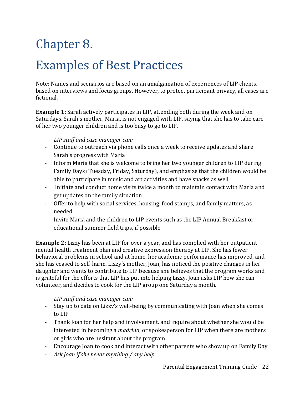# Chapter 8.

### Examples of Best Practices

Note: Names and scenarios are based on an amalgamation of experiences of LIP clients, based on interviews and focus groups. However, to protect participant privacy, all cases are fictional.

**Example 1:** Sarah actively participates in LIP, attending both during the week and on Saturdays. Sarah's mother, Maria, is not engaged with LIP, saying that she has to take care of her two younger children and is too busy to go to LIP.

### *LIP staff and case manager can:*

- Continue to outreach via phone calls once a week to receive updates and share Sarah's progress with Maria
- Inform Maria that she is welcome to bring her two younger children to LIP during Family Days (Tuesday, Friday, Saturday), and emphasize that the children would be able to participate in music and art activities and have snacks as well
- Initiate and conduct home visits twice a month to maintain contact with Maria and get updates on the family situation
- Offer to help with social services, housing, food stamps, and family matters, as needed
- Invite Maria and the children to LIP events such as the LIP Annual Breakfast or educational summer field trips, if possible

**Example 2:** Lizzy has been at LIP for over a year, and has complied with her outpatient mental health treatment plan and creative expression therapy at LIP. She has fewer behavioral problems in school and at home, her academic performance has improved, and she has ceased to self-harm. Lizzy's mother, Joan, has noticed the positive changes in her daughter and wants to contribute to LIP because she believes that the program works and is grateful for the efforts that LIP has put into helping Lizzy. Joan asks LIP how she can volunteer, and decides to cook for the LIP group one Saturday a month.

### *LIP staff and case manager can:*

- Stay up to date on Lizzy's well-being by communicating with Joan when she comes to LIP
- Thank Joan for her help and involvement, and inquire about whether she would be interested in becoming a *madrina*, or spokesperson for LIP when there are mothers or girls who are hesitant about the program
- Encourage Joan to cook and interact with other parents who show up on Family Day
- *Ask Joan if she needs anything / any help*